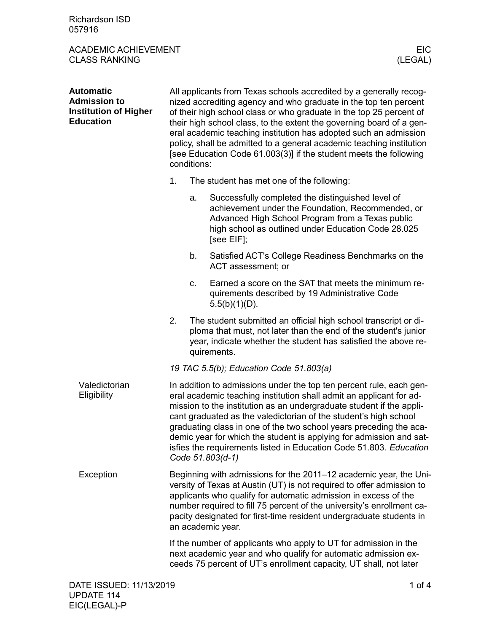Richardson ISD 057916

ACADEMIC ACHIEVEMENT EIC<br>CLASS RANKING (LEGAL) CLASS RANKING

| <b>Automatic</b><br><b>Admission to</b><br><b>Institution of Higher</b><br><b>Education</b> | All applicants from Texas schools accredited by a generally recog-<br>nized accrediting agency and who graduate in the top ten percent<br>of their high school class or who graduate in the top 25 percent of<br>their high school class, to the extent the governing board of a gen-<br>eral academic teaching institution has adopted such an admission<br>policy, shall be admitted to a general academic teaching institution<br>[see Education Code 61.003(3)] if the student meets the following<br>conditions:         |    |                                                                                                                                                                                                                                 |  |  |
|---------------------------------------------------------------------------------------------|-------------------------------------------------------------------------------------------------------------------------------------------------------------------------------------------------------------------------------------------------------------------------------------------------------------------------------------------------------------------------------------------------------------------------------------------------------------------------------------------------------------------------------|----|---------------------------------------------------------------------------------------------------------------------------------------------------------------------------------------------------------------------------------|--|--|
|                                                                                             | 1.                                                                                                                                                                                                                                                                                                                                                                                                                                                                                                                            |    | The student has met one of the following:                                                                                                                                                                                       |  |  |
|                                                                                             |                                                                                                                                                                                                                                                                                                                                                                                                                                                                                                                               | a. | Successfully completed the distinguished level of<br>achievement under the Foundation, Recommended, or<br>Advanced High School Program from a Texas public<br>high school as outlined under Education Code 28.025<br>[see EIF]; |  |  |
|                                                                                             |                                                                                                                                                                                                                                                                                                                                                                                                                                                                                                                               | b. | Satisfied ACT's College Readiness Benchmarks on the<br>ACT assessment; or                                                                                                                                                       |  |  |
|                                                                                             |                                                                                                                                                                                                                                                                                                                                                                                                                                                                                                                               | c. | Earned a score on the SAT that meets the minimum re-<br>quirements described by 19 Administrative Code<br>$5.5(b)(1)(D)$ .                                                                                                      |  |  |
|                                                                                             | 2.                                                                                                                                                                                                                                                                                                                                                                                                                                                                                                                            |    | The student submitted an official high school transcript or di-<br>ploma that must, not later than the end of the student's junior<br>year, indicate whether the student has satisfied the above re-<br>quirements.             |  |  |
|                                                                                             | 19 TAC 5.5(b); Education Code 51.803(a)                                                                                                                                                                                                                                                                                                                                                                                                                                                                                       |    |                                                                                                                                                                                                                                 |  |  |
| Valedictorian<br>Eligibility                                                                | In addition to admissions under the top ten percent rule, each gen-<br>eral academic teaching institution shall admit an applicant for ad-<br>mission to the institution as an undergraduate student if the appli-<br>cant graduated as the valedictorian of the student's high school<br>graduating class in one of the two school years preceding the aca-<br>demic year for which the student is applying for admission and sat-<br>isfies the requirements listed in Education Code 51.803. Education<br>Code 51.803(d-1) |    |                                                                                                                                                                                                                                 |  |  |
| Exception                                                                                   | Beginning with admissions for the 2011–12 academic year, the Uni-<br>versity of Texas at Austin (UT) is not required to offer admission to<br>applicants who qualify for automatic admission in excess of the<br>number required to fill 75 percent of the university's enrollment ca-<br>pacity designated for first-time resident undergraduate students in<br>an academic year.                                                                                                                                            |    |                                                                                                                                                                                                                                 |  |  |
|                                                                                             | If the number of applicants who apply to UT for admission in the<br>next academic year and who qualify for automatic admission ex-<br>ceeds 75 percent of UT's enrollment capacity, UT shall, not later                                                                                                                                                                                                                                                                                                                       |    |                                                                                                                                                                                                                                 |  |  |
| DATE ISSUED: 11/13/2019                                                                     |                                                                                                                                                                                                                                                                                                                                                                                                                                                                                                                               |    | 1 of $4$                                                                                                                                                                                                                        |  |  |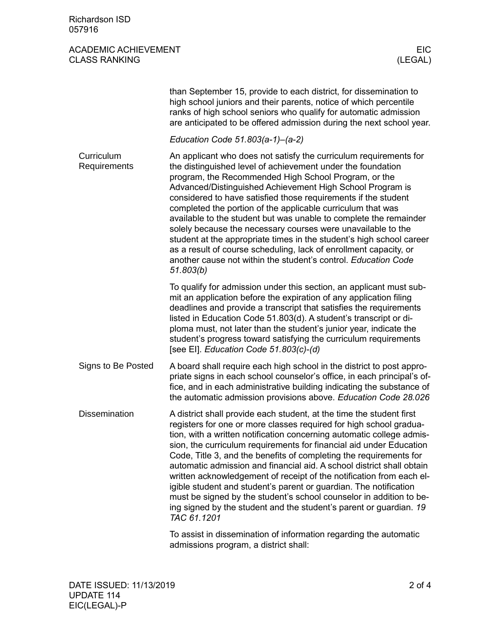## ACADEMIC ACHIEVEMENT EIC CLASS RANKING

|                            | than September 15, provide to each district, for dissemination to<br>high school juniors and their parents, notice of which percentile<br>ranks of high school seniors who qualify for automatic admission<br>are anticipated to be offered admission during the next school year.                                                                                                                                                                                                                                                                                                                                                                                                                                                                      |
|----------------------------|---------------------------------------------------------------------------------------------------------------------------------------------------------------------------------------------------------------------------------------------------------------------------------------------------------------------------------------------------------------------------------------------------------------------------------------------------------------------------------------------------------------------------------------------------------------------------------------------------------------------------------------------------------------------------------------------------------------------------------------------------------|
|                            | Education Code 51.803(a-1)-(a-2)                                                                                                                                                                                                                                                                                                                                                                                                                                                                                                                                                                                                                                                                                                                        |
| Curriculum<br>Requirements | An applicant who does not satisfy the curriculum requirements for<br>the distinguished level of achievement under the foundation<br>program, the Recommended High School Program, or the<br>Advanced/Distinguished Achievement High School Program is<br>considered to have satisfied those requirements if the student<br>completed the portion of the applicable curriculum that was<br>available to the student but was unable to complete the remainder<br>solely because the necessary courses were unavailable to the<br>student at the appropriate times in the student's high school career<br>as a result of course scheduling, lack of enrollment capacity, or<br>another cause not within the student's control. Education Code<br>51.803(b) |
|                            | To qualify for admission under this section, an applicant must sub-<br>mit an application before the expiration of any application filing<br>deadlines and provide a transcript that satisfies the requirements<br>listed in Education Code 51.803(d). A student's transcript or di-<br>ploma must, not later than the student's junior year, indicate the<br>student's progress toward satisfying the curriculum requirements<br>[see EI]. Education Code 51.803(c)-(d)                                                                                                                                                                                                                                                                                |
| Signs to Be Posted         | A board shall require each high school in the district to post appro-<br>priate signs in each school counselor's office, in each principal's of-<br>fice, and in each administrative building indicating the substance of<br>the automatic admission provisions above. Education Code 28.026                                                                                                                                                                                                                                                                                                                                                                                                                                                            |
| <b>Dissemination</b>       | A district shall provide each student, at the time the student first<br>registers for one or more classes required for high school gradua-<br>tion, with a written notification concerning automatic college admis-<br>sion, the curriculum requirements for financial aid under Education<br>Code, Title 3, and the benefits of completing the requirements for<br>automatic admission and financial aid. A school district shall obtain<br>written acknowledgement of receipt of the notification from each el-<br>igible student and student's parent or guardian. The notification<br>must be signed by the student's school counselor in addition to be-<br>ing signed by the student and the student's parent or guardian. 19<br>TAC 61.1201      |
|                            | To appiet in diopomination of information regarding the quitemetic                                                                                                                                                                                                                                                                                                                                                                                                                                                                                                                                                                                                                                                                                      |

To assist in dissemination of information regarding the automatic admissions program, a district shall: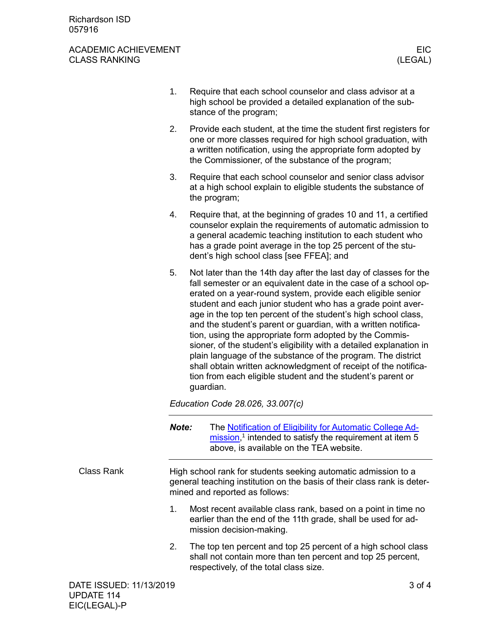## ACADEMIC ACHIEVEMENT EIC<br>CLASS RANKING (LEGAL) CLASS RANKING

|                         | 1.                                                                                                                                                                          | Require that each school counselor and class advisor at a<br>high school be provided a detailed explanation of the sub-<br>stance of the program;                                                                                                                                                                                                                                                                                                                                                                                                                                                                                                                                                                                                       |  |  |
|-------------------------|-----------------------------------------------------------------------------------------------------------------------------------------------------------------------------|---------------------------------------------------------------------------------------------------------------------------------------------------------------------------------------------------------------------------------------------------------------------------------------------------------------------------------------------------------------------------------------------------------------------------------------------------------------------------------------------------------------------------------------------------------------------------------------------------------------------------------------------------------------------------------------------------------------------------------------------------------|--|--|
|                         | 2.                                                                                                                                                                          | Provide each student, at the time the student first registers for<br>one or more classes required for high school graduation, with<br>a written notification, using the appropriate form adopted by<br>the Commissioner, of the substance of the program;                                                                                                                                                                                                                                                                                                                                                                                                                                                                                               |  |  |
|                         | 3.                                                                                                                                                                          | Require that each school counselor and senior class advisor<br>at a high school explain to eligible students the substance of<br>the program;                                                                                                                                                                                                                                                                                                                                                                                                                                                                                                                                                                                                           |  |  |
|                         | 4.                                                                                                                                                                          | Require that, at the beginning of grades 10 and 11, a certified<br>counselor explain the requirements of automatic admission to<br>a general academic teaching institution to each student who<br>has a grade point average in the top 25 percent of the stu-<br>dent's high school class [see FFEA]; and                                                                                                                                                                                                                                                                                                                                                                                                                                               |  |  |
|                         | 5.                                                                                                                                                                          | Not later than the 14th day after the last day of classes for the<br>fall semester or an equivalent date in the case of a school op-<br>erated on a year-round system, provide each eligible senior<br>student and each junior student who has a grade point aver-<br>age in the top ten percent of the student's high school class,<br>and the student's parent or guardian, with a written notifica-<br>tion, using the appropriate form adopted by the Commis-<br>sioner, of the student's eligibility with a detailed explanation in<br>plain language of the substance of the program. The district<br>shall obtain written acknowledgment of receipt of the notifica-<br>tion from each eligible student and the student's parent or<br>guardian. |  |  |
|                         | Education Code 28.026, 33.007(c)                                                                                                                                            |                                                                                                                                                                                                                                                                                                                                                                                                                                                                                                                                                                                                                                                                                                                                                         |  |  |
|                         | Note:                                                                                                                                                                       | The Notification of Eligibility for Automatic College Ad-<br>$mission1$ <sup>1</sup> intended to satisfy the requirement at item 5<br>above, is available on the TEA website.                                                                                                                                                                                                                                                                                                                                                                                                                                                                                                                                                                           |  |  |
| <b>Class Rank</b>       | High school rank for students seeking automatic admission to a<br>general teaching institution on the basis of their class rank is deter-<br>mined and reported as follows: |                                                                                                                                                                                                                                                                                                                                                                                                                                                                                                                                                                                                                                                                                                                                                         |  |  |
|                         | 1.                                                                                                                                                                          | Most recent available class rank, based on a point in time no<br>earlier than the end of the 11th grade, shall be used for ad-<br>mission decision-making.                                                                                                                                                                                                                                                                                                                                                                                                                                                                                                                                                                                              |  |  |
|                         | 2.                                                                                                                                                                          | The top ten percent and top 25 percent of a high school class<br>shall not contain more than ten percent and top 25 percent,<br>respectively, of the total class size.                                                                                                                                                                                                                                                                                                                                                                                                                                                                                                                                                                                  |  |  |
| DATE ISSUED: 11/13/2019 |                                                                                                                                                                             | 3 of 4                                                                                                                                                                                                                                                                                                                                                                                                                                                                                                                                                                                                                                                                                                                                                  |  |  |